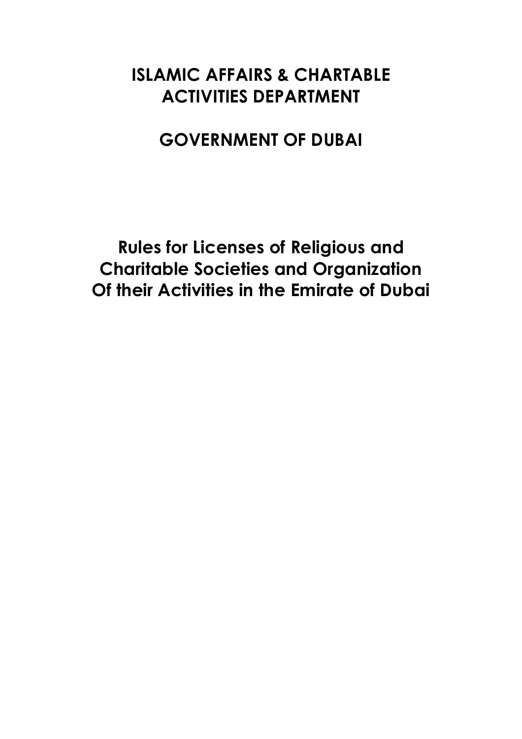# **ISLAMIC AFFAIRS & CHARTABLE ACTIVITIES DEPARTMENT**

# **GOVERNMENT OF DUBAI**

**Rules for Licenses of Religious and Charitable Societies and Organization Of their Activities in the Emirate of Dubai**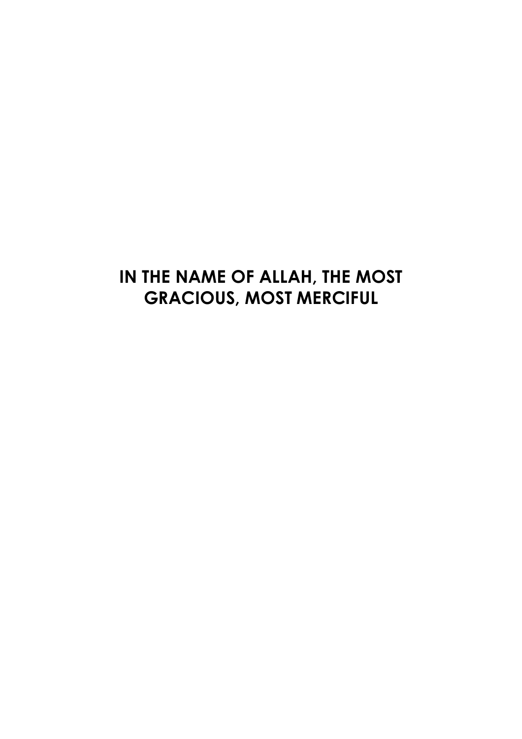# **IN THE NAME OF ALLAH, THE MOST GRACIOUS, MOST MERCIFUL**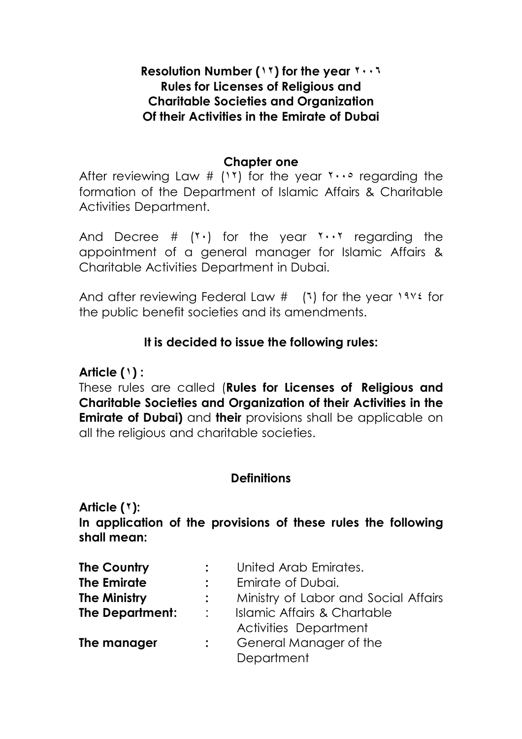#### **Resolution Number (١٢) for the year ٢٠٠٦ Rules for Licenses of Religious and Charitable Societies and Organization Of their Activities in the Emirate of Dubai**

#### **Chapter one**

After reviewing Law #  $(1)$  for the year  $1 \cdots$  regarding the formation of the Department of Islamic Affairs & Charitable Activities Department.

And Decree  $#$  ( $\check{\ }$ ) for the year  $\check{\ }$ . regarding the appointment of a general manager for Islamic Affairs & Charitable Activities Department in Dubai.

And after reviewing Federal Law  $\#$  (1) for the year  $19\%$  for the public benefit societies and its amendments.

#### **It is decided to issue the following rules:**

#### **Article (١) :**

These rules are called (**Rules for Licenses of Religious and Charitable Societies and Organization of their Activities in the Emirate of Dubai)** and **their** provisions shall be applicable on all the religious and charitable societies.

#### **Definitions**

**Article (٢):** 

**In application of the provisions of these rules the following shall mean:** 

| <b>The Country</b>     |                | United Arab Emirates.                |
|------------------------|----------------|--------------------------------------|
| <b>The Emirate</b>     |                | Emirate of Dubai.                    |
| <b>The Ministry</b>    |                | Ministry of Labor and Social Affairs |
| <b>The Department:</b> | $\mathbb{R}^n$ | Islamic Affairs & Chartable          |
|                        |                | <b>Activities Department</b>         |
| The manager            |                | General Manager of the               |
|                        |                | Department                           |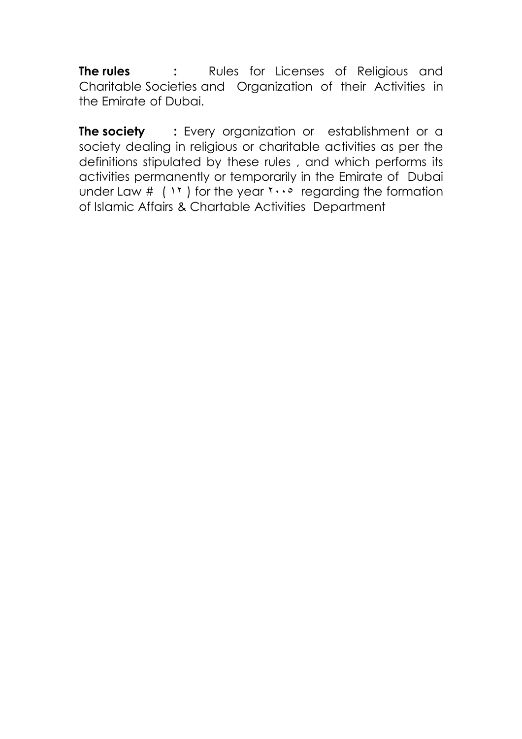**The rules :**  Rules for Licenses of Religious and Charitable Societies and Organization of their Activities in the Emirate of Dubai.

**The society** : Every organization or establishment or a society dealing in religious or charitable activities as per the definitions stipulated by these rules , and which performs its activities permanently or temporarily in the Emirate of Dubai under Law  $\#$  (  $\#$  ) for the year  $\pi \cdot \cdot \circ$  regarding the formation of Islamic Affairs & Chartable Activities Department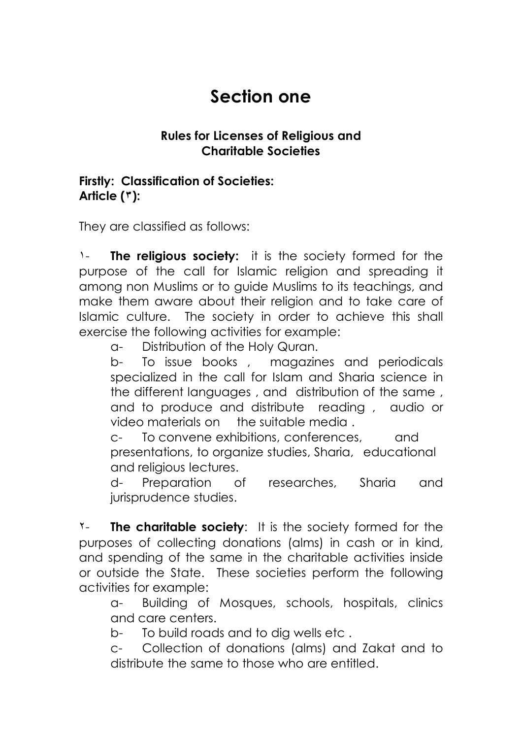# **Section one**

#### **Rules for Licenses of Religious and Charitable Societies**

#### **Firstly: Classification of Societies: Article (٣):**

They are classified as follows:

١- **The religious society:** it is the society formed for the purpose of the call for Islamic religion and spreading it among non Muslims or to guide Muslims to its teachings, and make them aware about their religion and to take care of Islamic culture. The society in order to achieve this shall exercise the following activities for example:

a- Distribution of the Holy Quran.

b- To issue books , magazines and periodicals specialized in the call for Islam and Sharia science in the different languages , and distribution of the same , and to produce and distribute reading , audio or video materials on the suitable media .

c- To convene exhibitions, conferences, and presentations, to organize studies, Sharia, educational and religious lectures.

d- Preparation of researches, Sharia and jurisprudence studies.

٢- **The charitable society**: It is the society formed for the purposes of collecting donations (alms) in cash or in kind, and spending of the same in the charitable activities inside or outside the State. These societies perform the following activities for example:

a- Building of Mosques, schools, hospitals, clinics and care centers.

b- To build roads and to dig wells etc .

c- Collection of donations (alms) and Zakat and to distribute the same to those who are entitled.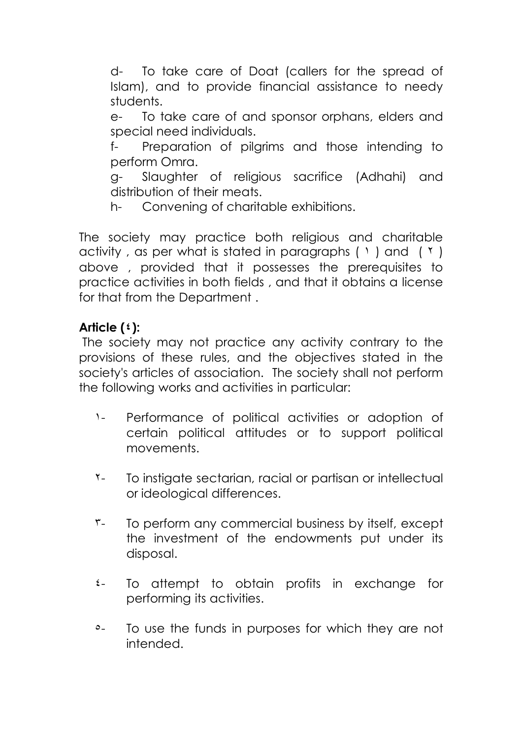d- To take care of Doat (callers for the spread of Islam), and to provide financial assistance to needy students.

e- To take care of and sponsor orphans, elders and special need individuals.

f- Preparation of pilgrims and those intending to perform Omra.

g- Slaughter of religious sacrifice (Adhahi) and distribution of their meats.

h- Convening of charitable exhibitions.

The society may practice both religious and charitable activity, as per what is stated in paragraphs  $(1)$  and  $(1)$ above , provided that it possesses the prerequisites to practice activities in both fields , and that it obtains a license for that from the Department .

### **Article (٤):**

The society may not practice any activity contrary to the provisions of these rules, and the objectives stated in the society's articles of association. The society shall not perform the following works and activities in particular:

- ١- Performance of political activities or adoption of certain political attitudes or to support political movements.
- T- To instigate sectarian, racial or partisan or intellectual or ideological differences.
- ٣- To perform any commercial business by itself, except the investment of the endowments put under its disposal.
- ٤- To attempt to obtain profits in exchange for performing its activities.
- <sup>o</sup>- To use the funds in purposes for which they are not intended.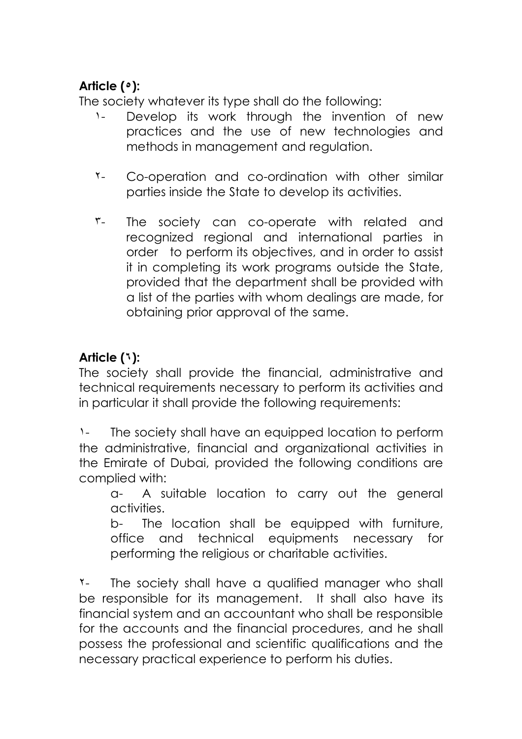## **Article (٥):**

The society whatever its type shall do the following:

- ١- Develop its work through the invention of new practices and the use of new technologies and methods in management and regulation.
- ٢- Co-operation and co-ordination with other similar parties inside the State to develop its activities.
- ٣- The society can co-operate with related and recognized regional and international parties in order to perform its objectives, and in order to assist it in completing its work programs outside the State, provided that the department shall be provided with a list of the parties with whom dealings are made, for obtaining prior approval of the same.

## **Article (٦):**

The society shall provide the financial, administrative and technical requirements necessary to perform its activities and in particular it shall provide the following requirements:

١- The society shall have an equipped location to perform the administrative, financial and organizational activities in the Emirate of Dubai, provided the following conditions are complied with:

a- A suitable location to carry out the general activities.

b- The location shall be equipped with furniture, office and technical equipments necessary for performing the religious or charitable activities.

٢- The society shall have a qualified manager who shall be responsible for its management. It shall also have its financial system and an accountant who shall be responsible for the accounts and the financial procedures, and he shall possess the professional and scientific qualifications and the necessary practical experience to perform his duties.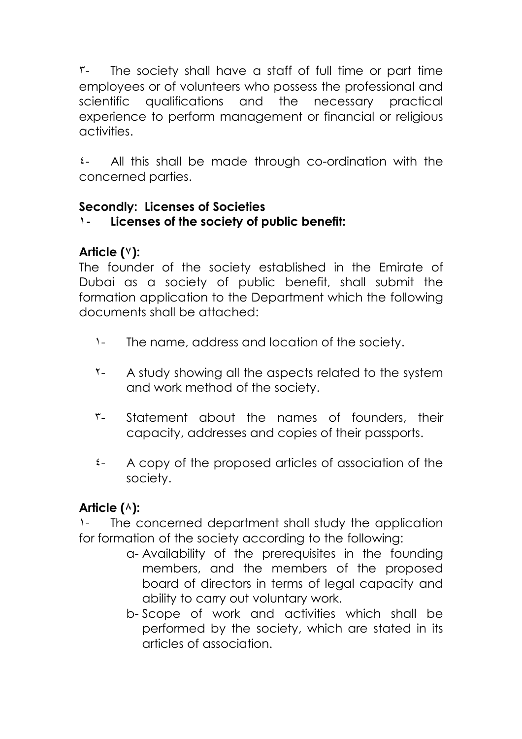٣- The society shall have a staff of full time or part time employees or of volunteers who possess the professional and scientific qualifications and the necessary practical experience to perform management or financial or religious activities.

٤- All this shall be made through co-ordination with the concerned parties.

### **Secondly: Licenses of Societies**

## **١- Licenses of the society of public benefit:**

## **Article (٧):**

The founder of the society established in the Emirate of Dubai as a society of public benefit, shall submit the formation application to the Department which the following documents shall be attached:

- ١- The name, address and location of the society.
- ٢- A study showing all the aspects related to the system and work method of the society.
- ٣- Statement about the names of founders, their capacity, addresses and copies of their passports.
- ٤- A copy of the proposed articles of association of the society.

## **Article (٨):**

The concerned department shall study the application for formation of the society according to the following:

- a- Availability of the prerequisites in the founding members, and the members of the proposed board of directors in terms of legal capacity and ability to carry out voluntary work.
- b- Scope of work and activities which shall be performed by the society, which are stated in its articles of association.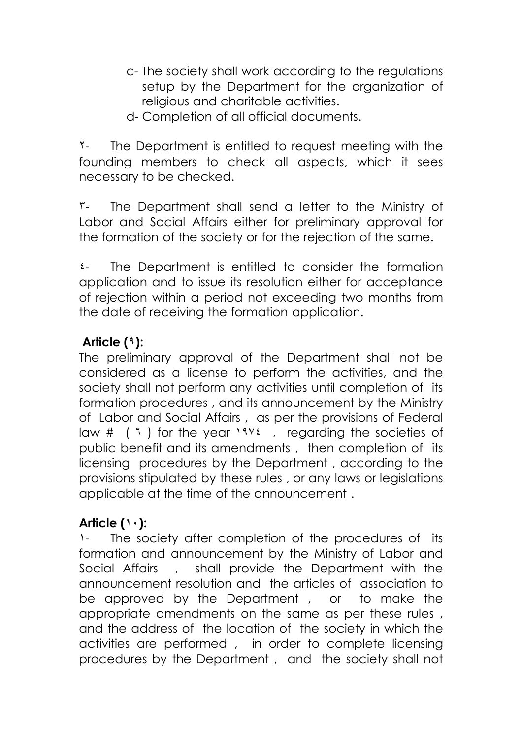- c- The society shall work according to the regulations setup by the Department for the organization of religious and charitable activities.
- d- Completion of all official documents.

٢- The Department is entitled to request meeting with the founding members to check all aspects, which it sees necessary to be checked.

٣- The Department shall send a letter to the Ministry of Labor and Social Affairs either for preliminary approval for the formation of the society or for the rejection of the same.

٤- The Department is entitled to consider the formation application and to issue its resolution either for acceptance of rejection within a period not exceeding two months from the date of receiving the formation application.

## **Article (٩):**

The preliminary approval of the Department shall not be considered as a license to perform the activities, and the society shall not perform any activities until completion of its formation procedures , and its announcement by the Ministry of Labor and Social Affairs , as per the provisions of Federal law #  $(1)$  for the year  $1946$ , regarding the societies of public benefit and its amendments , then completion of its licensing procedures by the Department , according to the provisions stipulated by these rules , or any laws or legislations applicable at the time of the announcement .

## **Article (١٠):**

١- The society after completion of the procedures of its formation and announcement by the Ministry of Labor and Social Affairs , shall provide the Department with the announcement resolution and the articles of association to be approved by the Department , or to make the appropriate amendments on the same as per these rules , and the address of the location of the society in which the activities are performed , in order to complete licensing procedures by the Department , and the society shall not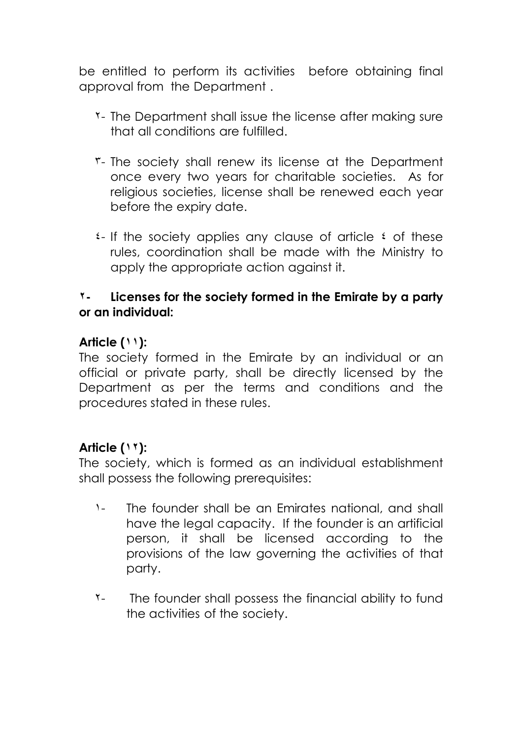be entitled to perform its activities before obtaining final approval from the Department .

- ٢- The Department shall issue the license after making sure that all conditions are fulfilled.
- ٣- The society shall renew its license at the Department once every two years for charitable societies. As for religious societies, license shall be renewed each year before the expiry date.
- ٤- If the society applies any clause of article ٤ of these rules, coordination shall be made with the Ministry to apply the appropriate action against it.

#### **٢- Licenses for the society formed in the Emirate by a party or an individual:**

### **Article (١١):**

The society formed in the Emirate by an individual or an official or private party, shall be directly licensed by the Department as per the terms and conditions and the procedures stated in these rules.

## **Article (١٢):**

The society, which is formed as an individual establishment shall possess the following prerequisites:

- ١- The founder shall be an Emirates national, and shall have the legal capacity. If the founder is an artificial person, it shall be licensed according to the provisions of the law governing the activities of that party.
- ٢- The founder shall possess the financial ability to fund the activities of the society.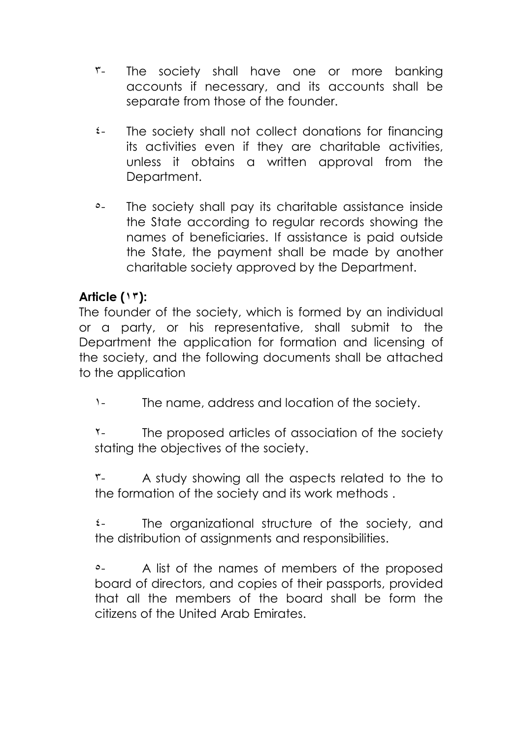- ٣- The society shall have one or more banking accounts if necessary, and its accounts shall be separate from those of the founder.
- ٤- The society shall not collect donations for financing its activities even if they are charitable activities, unless it obtains a written approval from the Department.
- ٥- The society shall pay its charitable assistance inside the State according to regular records showing the names of beneficiaries. If assistance is paid outside the State, the payment shall be made by another charitable society approved by the Department.

### **Article (١٣):**

The founder of the society, which is formed by an individual or a party, or his representative, shall submit to the Department the application for formation and licensing of the society, and the following documents shall be attached to the application

١- The name, address and location of the society.

٢- The proposed articles of association of the society stating the objectives of the society.

٣- A study showing all the aspects related to the to the formation of the society and its work methods .

٤- The organizational structure of the society, and the distribution of assignments and responsibilities.

٥- A list of the names of members of the proposed board of directors, and copies of their passports, provided that all the members of the board shall be form the citizens of the United Arab Emirates.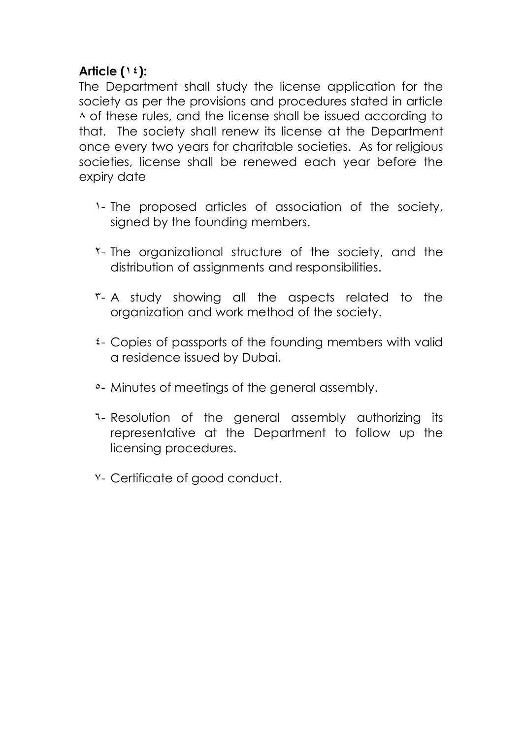### **Article (١٤):**

The Department shall study the license application for the society as per the provisions and procedures stated in article ٨ of these rules, and the license shall be issued according to that. The society shall renew its license at the Department once every two years for charitable societies. As for religious societies, license shall be renewed each year before the expiry date

- ١- The proposed articles of association of the society, signed by the founding members.
- ٢- The organizational structure of the society, and the distribution of assignments and responsibilities.
- ٣- A study showing all the aspects related to the organization and work method of the society.
- ٤- Copies of passports of the founding members with valid a residence issued by Dubai.
- ٥- Minutes of meetings of the general assembly.
- ٦- Resolution of the general assembly authorizing its representative at the Department to follow up the licensing procedures.
- ٧- Certificate of good conduct.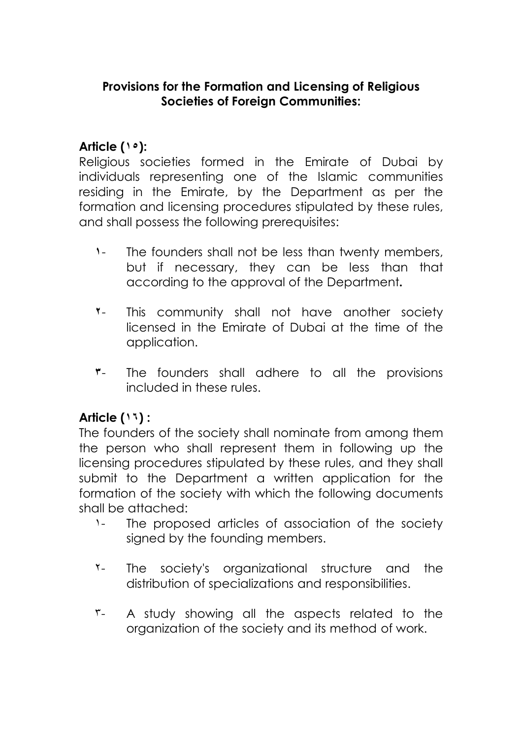#### **Provisions for the Formation and Licensing of Religious Societies of Foreign Communities:**

### **Article (١٥):**

Religious societies formed in the Emirate of Dubai by individuals representing one of the Islamic communities residing in the Emirate, by the Department as per the formation and licensing procedures stipulated by these rules, and shall possess the following prerequisites:

- **١** The founders shall not be less than twenty members, but if necessary, they can be less than that according to the approval of the Department**.**
- **٢** This community shall not have another society licensed in the Emirate of Dubai at the time of the application.
- **٣** The founders shall adhere to all the provisions included in these rules.

#### **Article (١٦) :**

The founders of the society shall nominate from among them the person who shall represent them in following up the licensing procedures stipulated by these rules, and they shall submit to the Department a written application for the formation of the society with which the following documents shall be attached:

- ١- The proposed articles of association of the society signed by the founding members.
- ٢- The society's organizational structure and the distribution of specializations and responsibilities.
- ٣- A study showing all the aspects related to the organization of the society and its method of work.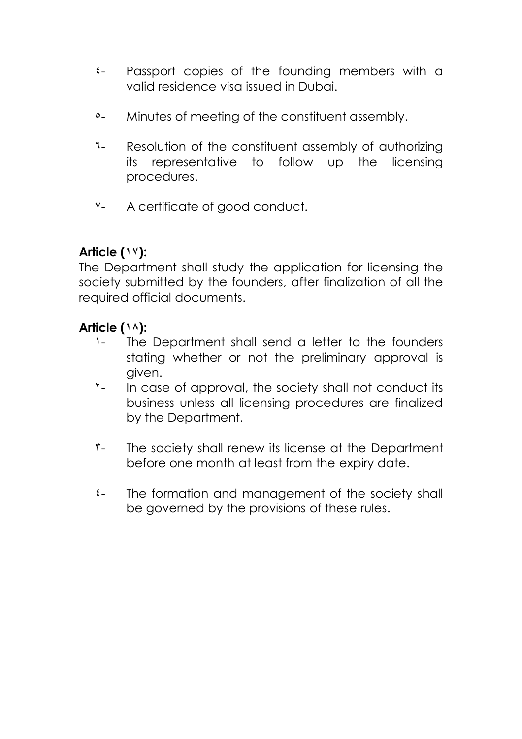- ٤- Passport copies of the founding members with a valid residence visa issued in Dubai.
- ٥- Minutes of meeting of the constituent assembly.
- ٦- Resolution of the constituent assembly of authorizing its representative to follow up the licensing procedures.
- ٧- A certificate of good conduct.

## **Article (١٧):**

The Department shall study the application for licensing the society submitted by the founders, after finalization of all the required official documents.

### **Article (١٨):**

- ١- The Department shall send a letter to the founders stating whether or not the preliminary approval is given.
- ٢- In case of approval, the society shall not conduct its business unless all licensing procedures are finalized by the Department.
- ٣- The society shall renew its license at the Department before one month at least from the expiry date.
- ٤- The formation and management of the society shall be governed by the provisions of these rules.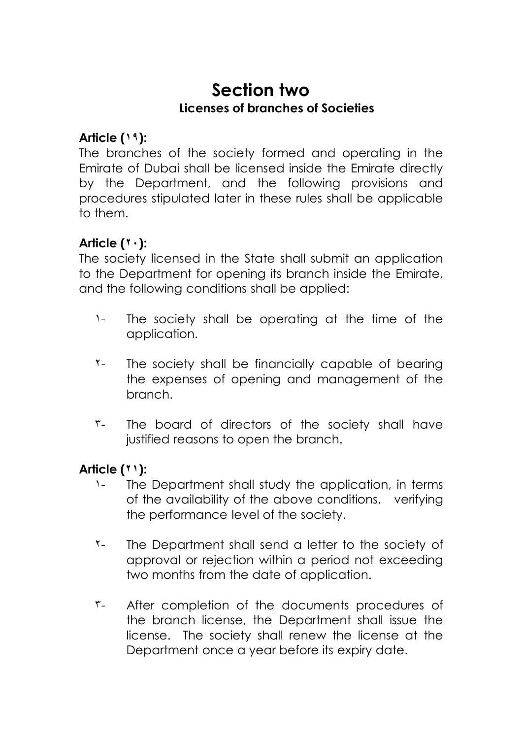# **Section two Licenses of branches of Societies**

### **Article (١٩):**

The branches of the society formed and operating in the Emirate of Dubai shall be licensed inside the Emirate directly by the Department, and the following provisions and procedures stipulated later in these rules shall be applicable to them.

## **Article (٢٠):**

The society licensed in the State shall submit an application to the Department for opening its branch inside the Emirate, and the following conditions shall be applied:

- ١- The society shall be operating at the time of the application.
- T- The society shall be financially capable of bearing the expenses of opening and management of the branch.
- ٣- The board of directors of the society shall have justified reasons to open the branch.

#### **Article (٢١):**

- ١- The Department shall study the application, in terms of the availability of the above conditions, verifying the performance level of the society.
- ٢- The Department shall send a letter to the society of approval or rejection within a period not exceeding two months from the date of application.
- ٣- After completion of the documents procedures of the branch license, the Department shall issue the license. The society shall renew the license at the Department once a year before its expiry date.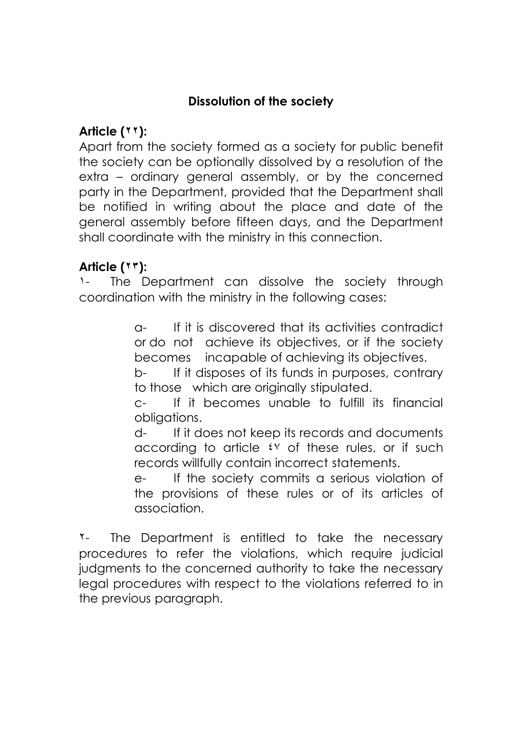## **Dissolution of the society**

## **Article (٢٢):**

Apart from the society formed as a society for public benefit the society can be optionally dissolved by a resolution of the extra – ordinary general assembly, or by the concerned party in the Department, provided that the Department shall be notified in writing about the place and date of the general assembly before fifteen days, and the Department shall coordinate with the ministry in this connection.

## **Article (٢٣):**

١- The Department can dissolve the society through coordination with the ministry in the following cases:

> a- If it is discovered that its activities contradict or do not achieve its objectives, or if the society becomes incapable of achieving its objectives.

> b- If it disposes of its funds in purposes, contrary to those which are originally stipulated.

> c- If it becomes unable to fulfill its financial obligations.

> d- If it does not keep its records and documents according to article  $\mathfrak{t} \vee$  of these rules, or if such records willfully contain incorrect statements.

> e- If the society commits a serious violation of the provisions of these rules or of its articles of association.

٢- The Department is entitled to take the necessary procedures to refer the violations, which require judicial judgments to the concerned authority to take the necessary legal procedures with respect to the violations referred to in the previous paragraph.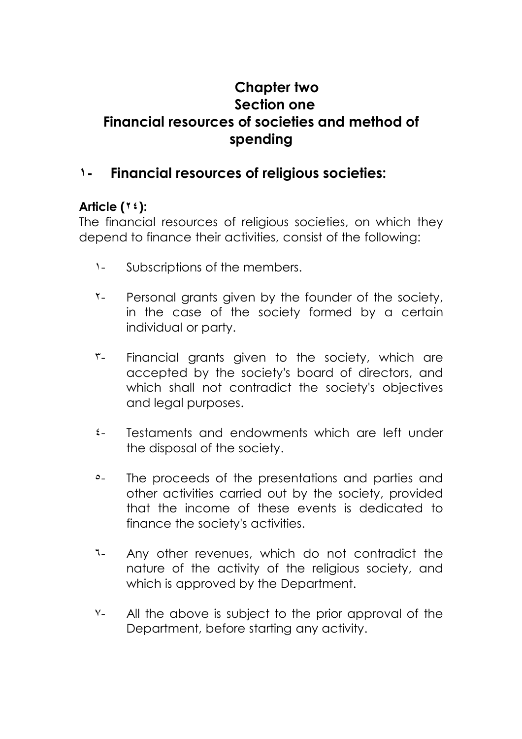## **Chapter two Section one Financial resources of societies and method of spending**

## **١- Financial resources of religious societies:**

#### **Article (٢٤):**

The financial resources of religious societies, on which they depend to finance their activities, consist of the following:

- ١- Subscriptions of the members.
- T- Personal grants given by the founder of the society, in the case of the society formed by a certain individual or party.
- ٣- Financial grants given to the society, which are accepted by the society's board of directors, and which shall not contradict the society's objectives and legal purposes.
- ٤- Testaments and endowments which are left under the disposal of the society.
- ٥- The proceeds of the presentations and parties and other activities carried out by the society, provided that the income of these events is dedicated to finance the society's activities.
- ٦- Any other revenues, which do not contradict the nature of the activity of the religious society, and which is approved by the Department.
- ٧- All the above is subject to the prior approval of the Department, before starting any activity.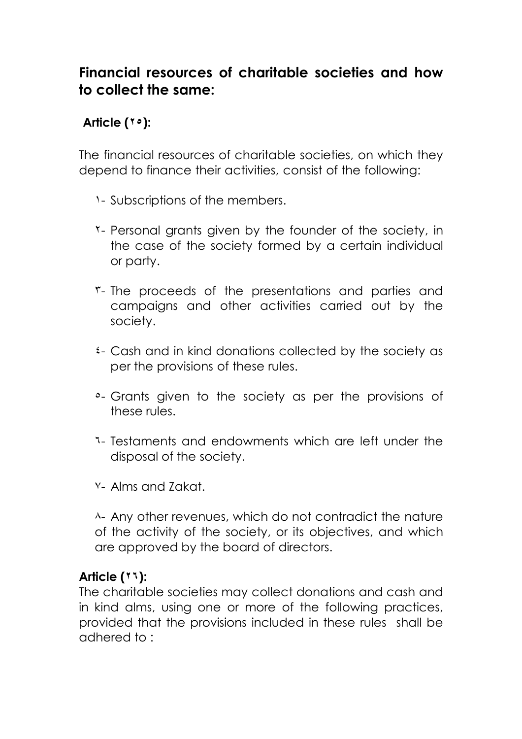## **Financial resources of charitable societies and how to collect the same:**

## **Article (٢٥):**

The financial resources of charitable societies, on which they depend to finance their activities, consist of the following:

- ١- Subscriptions of the members.
- ٢- Personal grants given by the founder of the society, in the case of the society formed by a certain individual or party.
- ٣- The proceeds of the presentations and parties and campaigns and other activities carried out by the society.
- ٤- Cash and in kind donations collected by the society as per the provisions of these rules.
- ٥- Grants given to the society as per the provisions of these rules.
- ٦- Testaments and endowments which are left under the disposal of the society.
- ٧- Alms and Zakat.

٨- Any other revenues, which do not contradict the nature of the activity of the society, or its objectives, and which are approved by the board of directors.

#### **Article (٢٦):**

The charitable societies may collect donations and cash and in kind alms, using one or more of the following practices, provided that the provisions included in these rules shall be adhered to :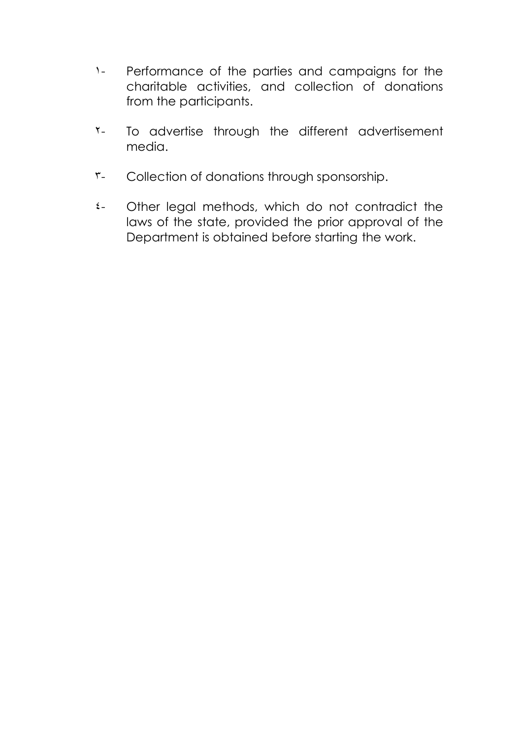- ١- Performance of the parties and campaigns for the charitable activities, and collection of donations from the participants.
- T- To advertise through the different advertisement media.
- ٣- Collection of donations through sponsorship.
- ٤- Other legal methods, which do not contradict the laws of the state, provided the prior approval of the Department is obtained before starting the work.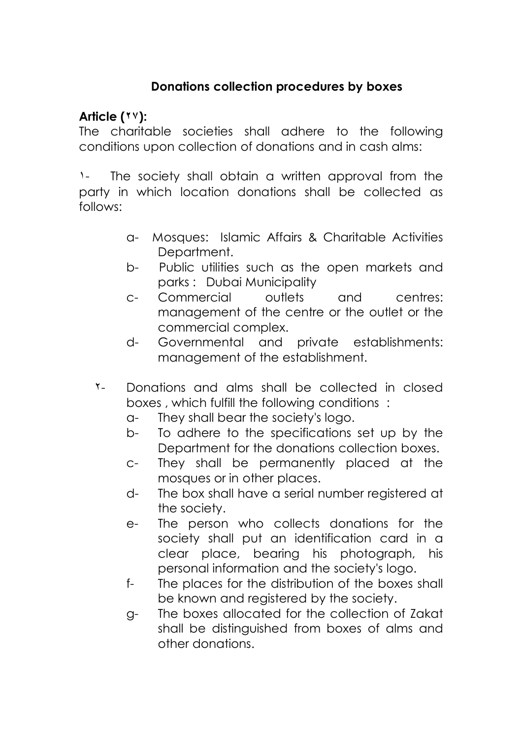### **Donations collection procedures by boxes**

### **Article (٢٧):**

The charitable societies shall adhere to the following conditions upon collection of donations and in cash alms:

١- The society shall obtain a written approval from the party in which location donations shall be collected as follows:

- a- Mosques: Islamic Affairs & Charitable Activities Department.
- b- Public utilities such as the open markets and parks : Dubai Municipality
- c- Commercial outlets and centres: management of the centre or the outlet or the commercial complex.
- d- Governmental and private establishments: management of the establishment.
- ٢- Donations and alms shall be collected in closed boxes , which fulfill the following conditions :
	- a- They shall bear the society's logo.
	- b- To adhere to the specifications set up by the Department for the donations collection boxes.
	- c- They shall be permanently placed at the mosques or in other places.
	- d- The box shall have a serial number registered at the society.
	- e- The person who collects donations for the society shall put an identification card in a clear place, bearing his photograph, his personal information and the society's logo.
	- f- The places for the distribution of the boxes shall be known and registered by the society.
	- g- The boxes allocated for the collection of Zakat shall be distinguished from boxes of alms and other donations.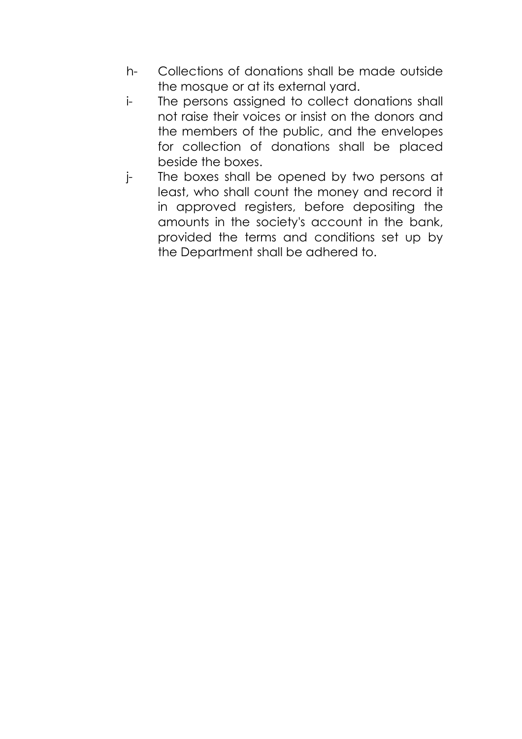- h- Collections of donations shall be made outside the mosque or at its external yard.
- i- The persons assigned to collect donations shall not raise their voices or insist on the donors and the members of the public, and the envelopes for collection of donations shall be placed beside the boxes.
- j- The boxes shall be opened by two persons at least, who shall count the money and record it in approved registers, before depositing the amounts in the society's account in the bank, provided the terms and conditions set up by the Department shall be adhered to.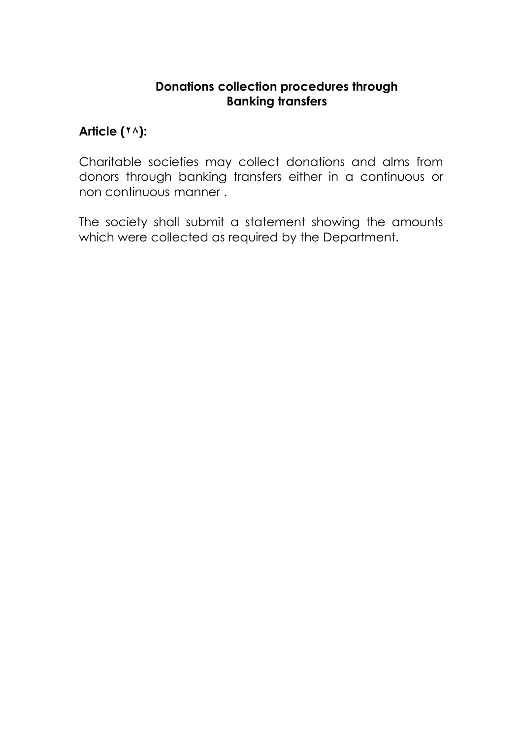#### **Donations collection procedures through Banking transfers**

### **Article (٢٨):**

Charitable societies may collect donations and alms from donors through banking transfers either in a continuous or non continuous manner .

The society shall submit a statement showing the amounts which were collected as required by the Department.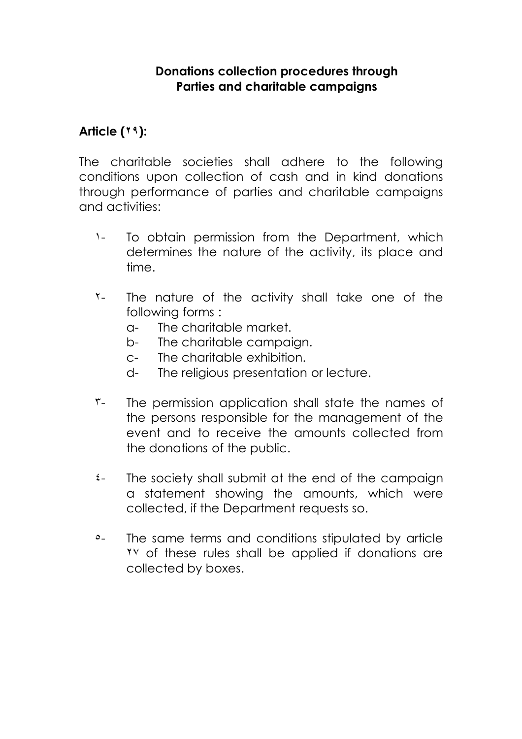#### **Donations collection procedures through Parties and charitable campaigns**

#### **Article (٢٩):**

The charitable societies shall adhere to the following conditions upon collection of cash and in kind donations through performance of parties and charitable campaigns and activities:

- ١- To obtain permission from the Department, which determines the nature of the activity, its place and time.
- ٢- The nature of the activity shall take one of the following forms :
	- a- The charitable market.
	- b- The charitable campaign.
	- c- The charitable exhibition.
	- d- The religious presentation or lecture.
- ٣- The permission application shall state the names of the persons responsible for the management of the event and to receive the amounts collected from the donations of the public.
- ٤- The society shall submit at the end of the campaign a statement showing the amounts, which were collected, if the Department requests so.
- <sup>o</sup>- The same terms and conditions stipulated by article ٢٧ of these rules shall be applied if donations are collected by boxes.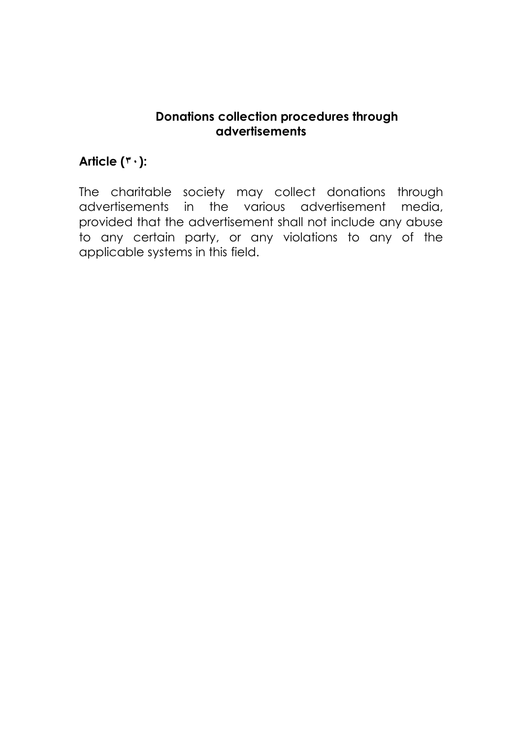#### **Donations collection procedures through advertisements**

## **Article (٣٠):**

The charitable society may collect donations through advertisements in the various advertisement media, provided that the advertisement shall not include any abuse to any certain party, or any violations to any of the applicable systems in this field.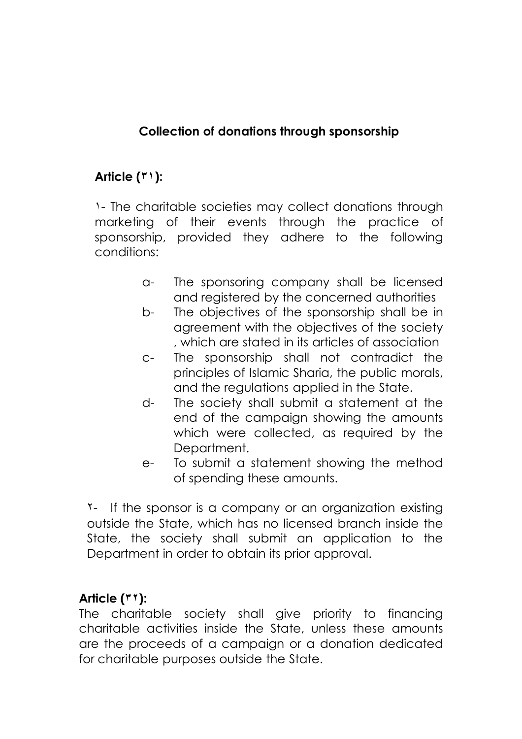### **Collection of donations through sponsorship**

## **Article (٣١):**

١- The charitable societies may collect donations through marketing of their events through the practice of sponsorship, provided they adhere to the following conditions:

- a- The sponsoring company shall be licensed and registered by the concerned authorities
- b- The objectives of the sponsorship shall be in agreement with the objectives of the society , which are stated in its articles of association
- c- The sponsorship shall not contradict the principles of Islamic Sharia, the public morals, and the regulations applied in the State.
- d- The society shall submit a statement at the end of the campaign showing the amounts which were collected, as required by the Department.
- e- To submit a statement showing the method of spending these amounts.

٢- If the sponsor is a company or an organization existing outside the State, which has no licensed branch inside the State, the society shall submit an application to the Department in order to obtain its prior approval.

#### **Article (٣٢):**

The charitable society shall give priority to financing charitable activities inside the State, unless these amounts are the proceeds of a campaign or a donation dedicated for charitable purposes outside the State.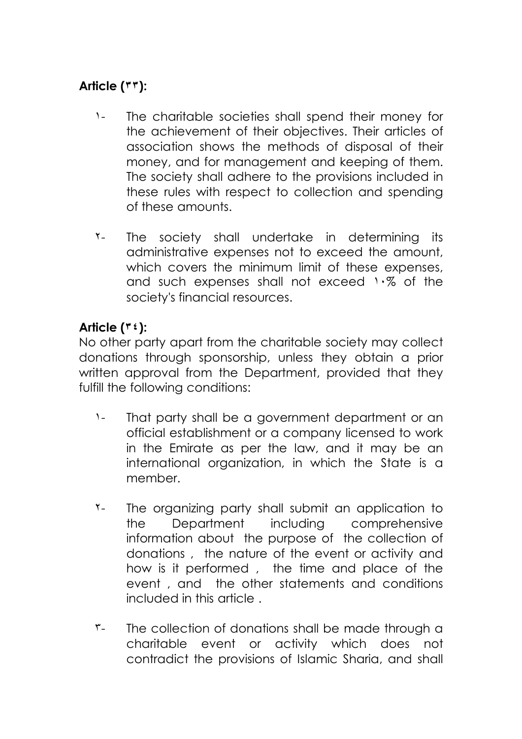## **Article (٣٣):**

- ١- The charitable societies shall spend their money for the achievement of their objectives. Their articles of association shows the methods of disposal of their money, and for management and keeping of them. The society shall adhere to the provisions included in these rules with respect to collection and spending of these amounts.
- ٢- The society shall undertake in determining its administrative expenses not to exceed the amount, which covers the minimum limit of these expenses, and such expenses shall not exceed ١٠% of the society's financial resources.

### **Article (٣٤):**

No other party apart from the charitable society may collect donations through sponsorship, unless they obtain a prior written approval from the Department, provided that they fulfill the following conditions:

- ١- That party shall be a government department or an official establishment or a company licensed to work in the Emirate as per the law, and it may be an international organization, in which the State is a member.
- ٢- The organizing party shall submit an application to the Department including comprehensive information about the purpose of the collection of donations , the nature of the event or activity and how is it performed , the time and place of the event , and the other statements and conditions included in this article .
- ٣- The collection of donations shall be made through a charitable event or activity which does not contradict the provisions of Islamic Sharia, and shall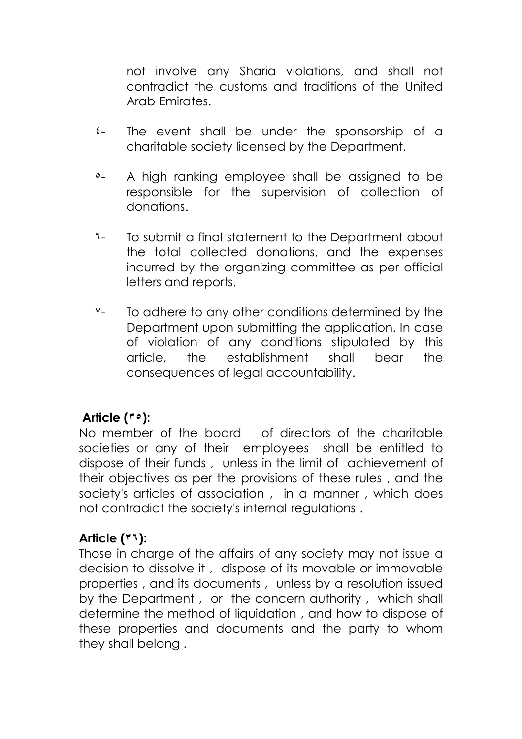not involve any Sharia violations, and shall not contradict the customs and traditions of the United Arab Emirates.

- ٤- The event shall be under the sponsorship of a charitable society licensed by the Department.
- ٥- A high ranking employee shall be assigned to be responsible for the supervision of collection of donations.
- ٦- To submit a final statement to the Department about the total collected donations, and the expenses incurred by the organizing committee as per official letters and reports.
- ٧- To adhere to any other conditions determined by the Department upon submitting the application. In case of violation of any conditions stipulated by this article, the establishment shall bear the consequences of legal accountability.

## **Article (٣٥):**

No member of the board of directors of the charitable societies or any of their employees shall be entitled to dispose of their funds , unless in the limit of achievement of their objectives as per the provisions of these rules , and the society's articles of association , in a manner , which does not contradict the society's internal regulations .

## **Article (٣٦):**

Those in charge of the affairs of any society may not issue a decision to dissolve it , dispose of its movable or immovable properties , and its documents , unless by a resolution issued by the Department , or the concern authority , which shall determine the method of liquidation , and how to dispose of these properties and documents and the party to whom they shall belong .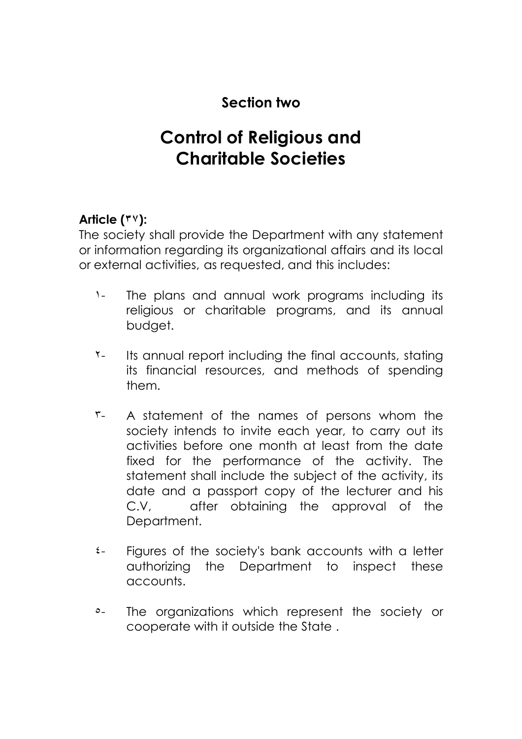## **Section two**

# **Control of Religious and Charitable Societies**

## **Article (٣٧):**

The society shall provide the Department with any statement or information regarding its organizational affairs and its local or external activities, as requested, and this includes:

- ١- The plans and annual work programs including its religious or charitable programs, and its annual budget.
- ٢- Its annual report including the final accounts, stating its financial resources, and methods of spending them.
- ٣- A statement of the names of persons whom the society intends to invite each year, to carry out its activities before one month at least from the date fixed for the performance of the activity. The statement shall include the subject of the activity, its date and a passport copy of the lecturer and his C.V, after obtaining the approval of the Department.
- ٤- Figures of the society's bank accounts with a letter authorizing the Department to inspect these accounts.
- ٥- The organizations which represent the society or cooperate with it outside the State .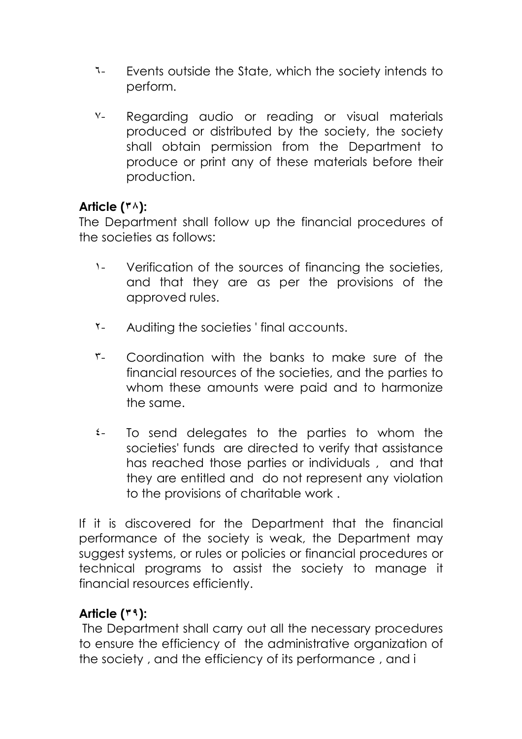- ٦- Events outside the State, which the society intends to perform.
- ٧- Regarding audio or reading or visual materials produced or distributed by the society, the society shall obtain permission from the Department to produce or print any of these materials before their production.

#### **Article (٣٨):**

The Department shall follow up the financial procedures of the societies as follows:

- ١- Verification of the sources of financing the societies, and that they are as per the provisions of the approved rules.
- ٢- Auditing the societies ' final accounts.
- ٣- Coordination with the banks to make sure of the financial resources of the societies, and the parties to whom these amounts were paid and to harmonize the same.
- ٤- To send delegates to the parties to whom the societies' funds are directed to verify that assistance has reached those parties or individuals , and that they are entitled and do not represent any violation to the provisions of charitable work .

If it is discovered for the Department that the financial performance of the society is weak, the Department may suggest systems, or rules or policies or financial procedures or technical programs to assist the society to manage it financial resources efficiently.

## **Article (٣٩):**

The Department shall carry out all the necessary procedures to ensure the efficiency of the administrative organization of the society , and the efficiency of its performance , and i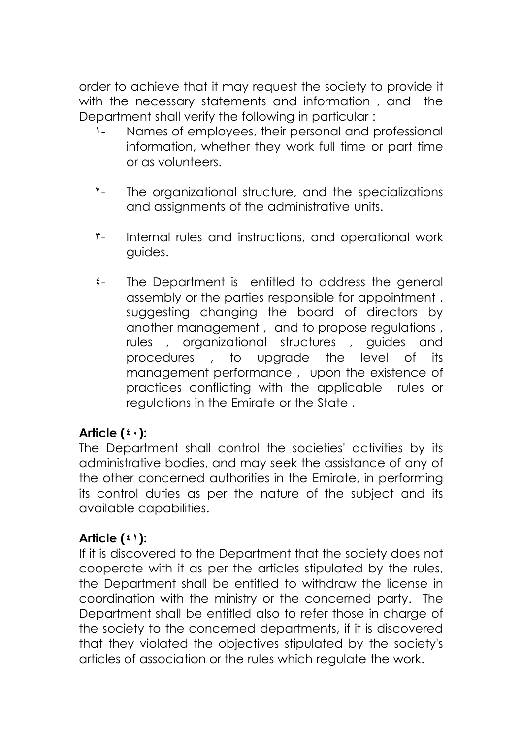order to achieve that it may request the society to provide it with the necessary statements and information, and the Department shall verify the following in particular :

- ١- Names of employees, their personal and professional information, whether they work full time or part time or as volunteers.
- ٢- The organizational structure, and the specializations and assignments of the administrative units.
- r- Internal rules and instructions, and operational work guides.
- ٤- The Department is entitled to address the general assembly or the parties responsible for appointment , suggesting changing the board of directors by another management , and to propose regulations , rules , organizational structures , guides and procedures , to upgrade the level of its management performance , upon the existence of practices conflicting with the applicable rules or regulations in the Emirate or the State .

#### **Article (٤٠):**

The Department shall control the societies' activities by its administrative bodies, and may seek the assistance of any of the other concerned authorities in the Emirate, in performing its control duties as per the nature of the subject and its available capabilities.

## **Article (٤١):**

If it is discovered to the Department that the society does not cooperate with it as per the articles stipulated by the rules, the Department shall be entitled to withdraw the license in coordination with the ministry or the concerned party. The Department shall be entitled also to refer those in charge of the society to the concerned departments, if it is discovered that they violated the objectives stipulated by the society's articles of association or the rules which regulate the work.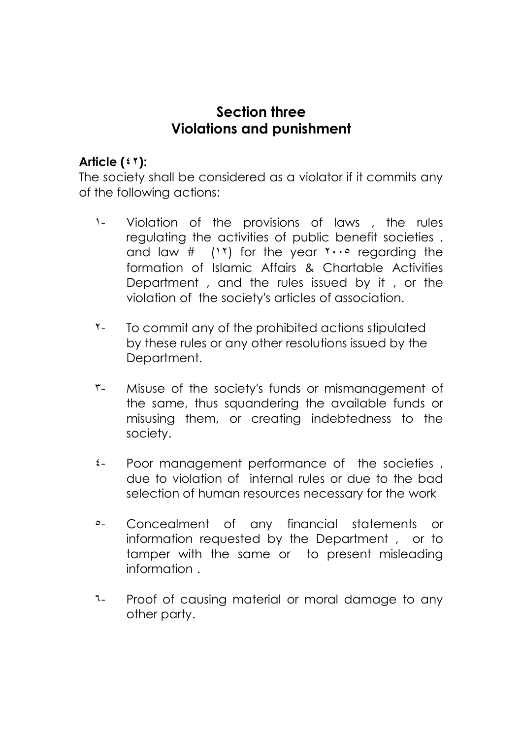## **Section three Violations and punishment**

#### **Article (٤٢):**

The society shall be considered as a violator if it commits any of the following actions:

- ١- Violation of the provisions of laws , the rules regulating the activities of public benefit societies , and law  $\#$  (17) for the year  $1 \cdots$  regarding the formation of Islamic Affairs & Chartable Activities Department , and the rules issued by it , or the violation of the society's articles of association.
- ٢- To commit any of the prohibited actions stipulated by these rules or any other resolutions issued by the Department.
- ٣- Misuse of the society's funds or mismanagement of the same, thus squandering the available funds or misusing them, or creating indebtedness to the society.
- ٤- Poor management performance of the societies , due to violation of internal rules or due to the bad selection of human resources necessary for the work
- ٥- Concealment of any financial statements or information requested by the Department , or to tamper with the same or to present misleading information .
- ٦- Proof of causing material or moral damage to any other party.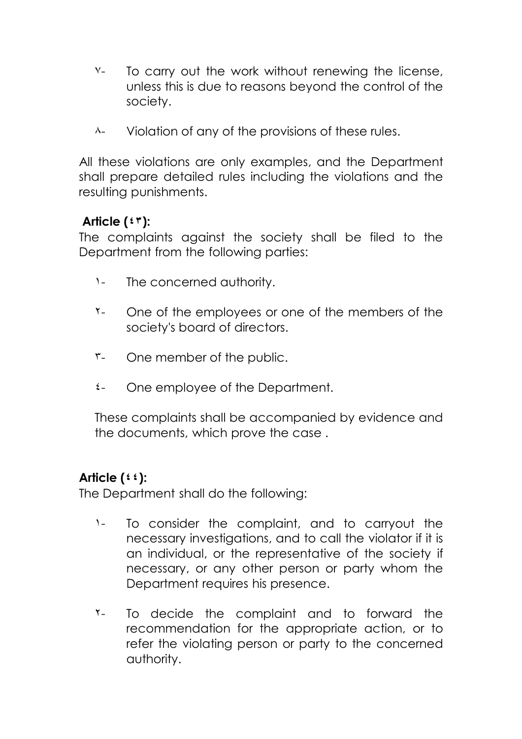- Y- To carry out the work without renewing the license, unless this is due to reasons beyond the control of the society.
- ٨- Violation of any of the provisions of these rules.

All these violations are only examples, and the Department shall prepare detailed rules including the violations and the resulting punishments.

### **Article (٤٣):**

The complaints against the society shall be filed to the Department from the following parties:

- ١- The concerned authority.
- ٢- One of the employees or one of the members of the society's board of directors.
- ٣- One member of the public.
- ٤- One employee of the Department.

These complaints shall be accompanied by evidence and the documents, which prove the case .

#### **Article (٤٤):**

The Department shall do the following:

- ١- To consider the complaint, and to carryout the necessary investigations, and to call the violator if it is an individual, or the representative of the society if necessary, or any other person or party whom the Department requires his presence.
- ٢- To decide the complaint and to forward the recommendation for the appropriate action, or to refer the violating person or party to the concerned authority.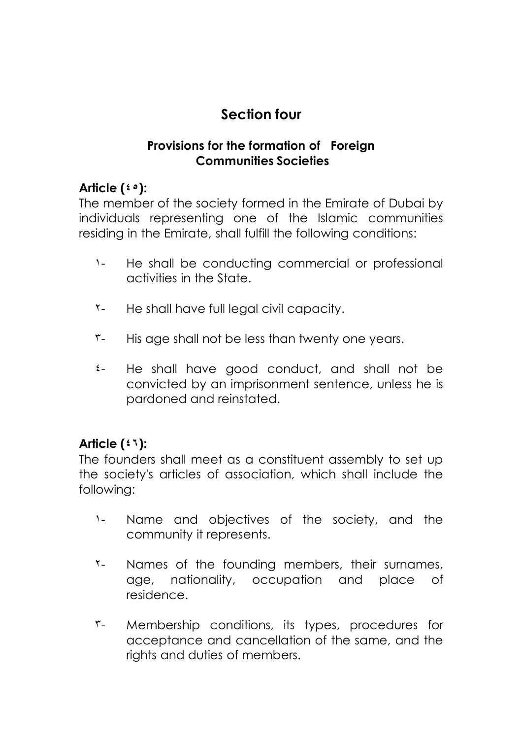## **Section four**

### **Provisions for the formation of Foreign Communities Societies**

## **Article (٤٥):**

The member of the society formed in the Emirate of Dubai by individuals representing one of the Islamic communities residing in the Emirate, shall fulfill the following conditions:

- ١- He shall be conducting commercial or professional activities in the State.
- ٢- He shall have full legal civil capacity.
- ٣- His age shall not be less than twenty one years.
- ٤- He shall have good conduct, and shall not be convicted by an imprisonment sentence, unless he is pardoned and reinstated.

## **Article (٤٦):**

The founders shall meet as a constituent assembly to set up the society's articles of association, which shall include the following:

- ١- Name and objectives of the society, and the community it represents.
- ٢- Names of the founding members, their surnames, age, nationality, occupation and place of residence.
- ٣- Membership conditions, its types, procedures for acceptance and cancellation of the same, and the rights and duties of members.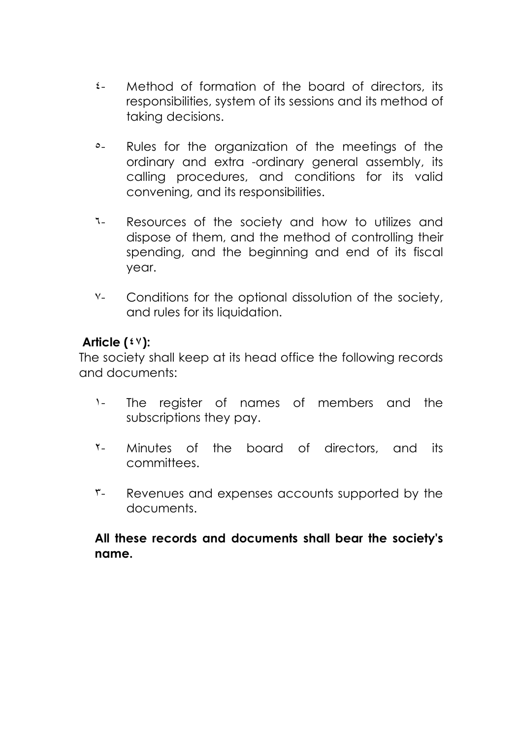- ٤- Method of formation of the board of directors, its responsibilities, system of its sessions and its method of taking decisions.
- ٥- Rules for the organization of the meetings of the ordinary and extra -ordinary general assembly, its calling procedures, and conditions for its valid convening, and its responsibilities.
- ٦- Resources of the society and how to utilizes and dispose of them, and the method of controlling their spending, and the beginning and end of its fiscal year.
- ٧- Conditions for the optional dissolution of the society, and rules for its liquidation.

### **Article (٤٧):**

The society shall keep at its head office the following records and documents:

- ١- The register of names of members and the subscriptions they pay.
- ٢- Minutes of the board of directors, and its committees.
- ٣- Revenues and expenses accounts supported by the documents.

#### **All these records and documents shall bear the society's name.**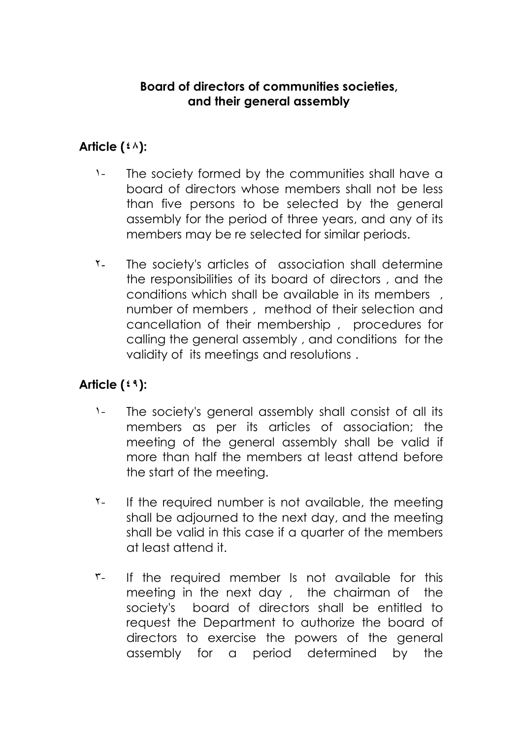#### **Board of directors of communities societies, and their general assembly**

#### **Article (٤٨):**

- ١- The society formed by the communities shall have a board of directors whose members shall not be less than five persons to be selected by the general assembly for the period of three years, and any of its members may be re selected for similar periods.
- ٢- The society's articles of association shall determine the responsibilities of its board of directors , and the conditions which shall be available in its members , number of members , method of their selection and cancellation of their membership , procedures for calling the general assembly , and conditions for the validity of its meetings and resolutions .

## **Article (٤٩):**

- ١- The society's general assembly shall consist of all its members as per its articles of association; the meeting of the general assembly shall be valid if more than half the members at least attend before the start of the meeting.
- T- If the required number is not available, the meeting shall be adjourned to the next day, and the meeting shall be valid in this case if a quarter of the members at least attend it.
- r- If the required member Is not available for this meeting in the next day , the chairman of the society's board of directors shall be entitled to request the Department to authorize the board of directors to exercise the powers of the general assembly for a period determined by the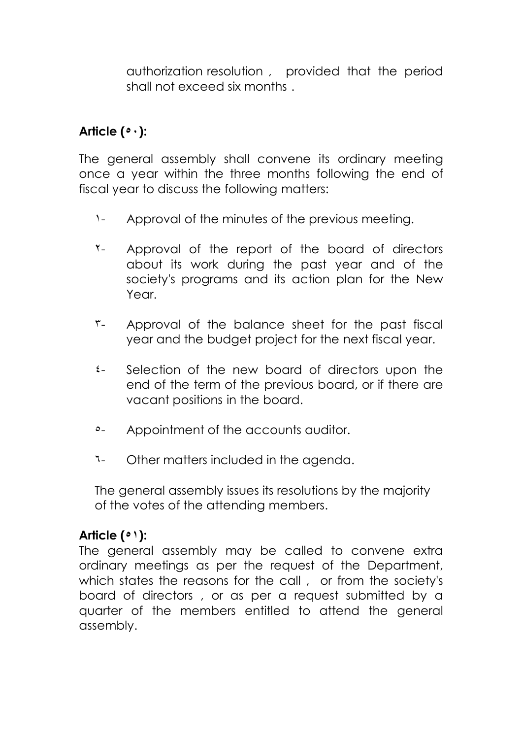authorization resolution , provided that the period shall not exceed six months .

## **Article (٥٠):**

The general assembly shall convene its ordinary meeting once a year within the three months following the end of fiscal year to discuss the following matters:

- ١- Approval of the minutes of the previous meeting.
- ٢- Approval of the report of the board of directors about its work during the past year and of the society's programs and its action plan for the New Year.
- ٣- Approval of the balance sheet for the past fiscal year and the budget project for the next fiscal year.
- ٤- Selection of the new board of directors upon the end of the term of the previous board, or if there are vacant positions in the board.
- ٥- Appointment of the accounts auditor.
- ٦- Other matters included in the agenda.

The general assembly issues its resolutions by the majority of the votes of the attending members.

#### **Article (٥١):**

The general assembly may be called to convene extra ordinary meetings as per the request of the Department, which states the reasons for the call, or from the society's board of directors , or as per a request submitted by a quarter of the members entitled to attend the general assembly.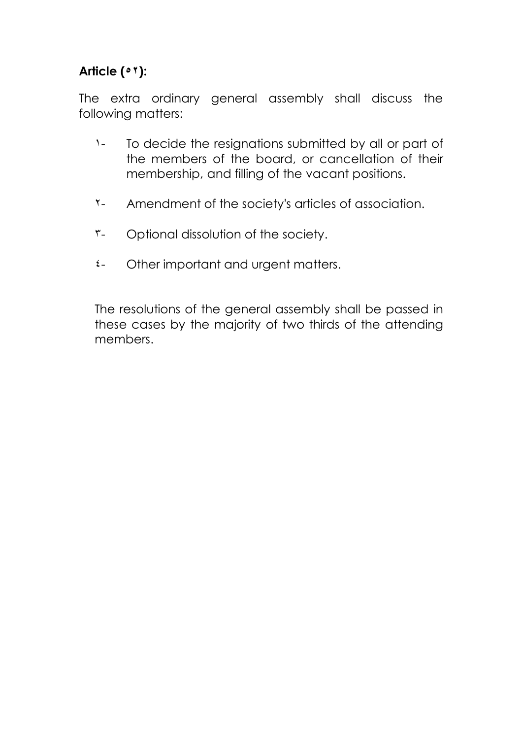## **Article (٥٢):**

The extra ordinary general assembly shall discuss the following matters:

- ١- To decide the resignations submitted by all or part of the members of the board, or cancellation of their membership, and filling of the vacant positions.
- ٢- Amendment of the society's articles of association.
- ٣- Optional dissolution of the society.
- ٤- Other important and urgent matters.

The resolutions of the general assembly shall be passed in these cases by the majority of two thirds of the attending members.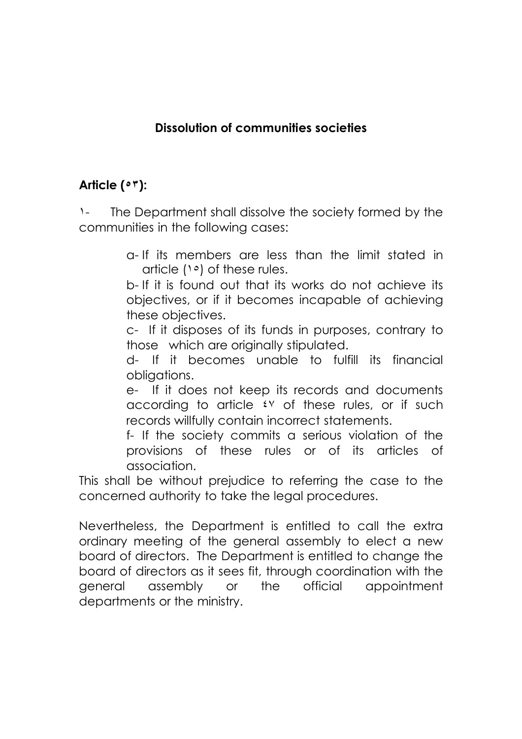### **Dissolution of communities societies**

## **Article (٥٣):**

١- The Department shall dissolve the society formed by the communities in the following cases:

> a- If its members are less than the limit stated in article (١٥) of these rules.

> b- If it is found out that its works do not achieve its objectives, or if it becomes incapable of achieving these objectives.

> c- If it disposes of its funds in purposes, contrary to those which are originally stipulated.

> d- If it becomes unable to fulfill its financial obligations.

> e- If it does not keep its records and documents according to article ٤٧ of these rules, or if such records willfully contain incorrect statements.

> f- If the society commits a serious violation of the provisions of these rules or of its articles of association.

This shall be without prejudice to referring the case to the concerned authority to take the legal procedures.

Nevertheless, the Department is entitled to call the extra ordinary meeting of the general assembly to elect a new board of directors. The Department is entitled to change the board of directors as it sees fit, through coordination with the general assembly or the official appointment departments or the ministry.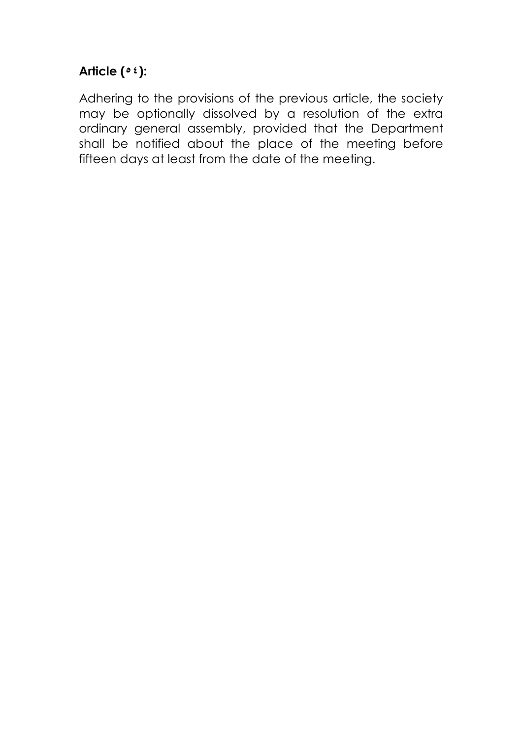## **Article (٥٤):**

Adhering to the provisions of the previous article, the society may be optionally dissolved by a resolution of the extra ordinary general assembly, provided that the Department shall be notified about the place of the meeting before fifteen days at least from the date of the meeting.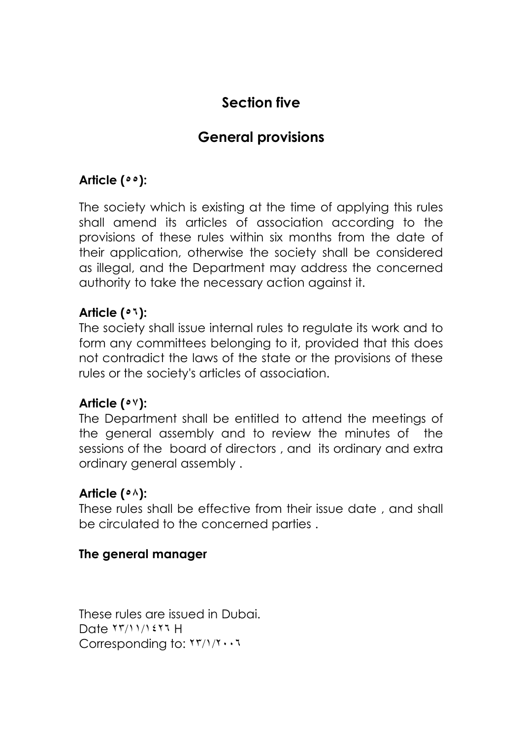## **Section five**

## **General provisions**

### **Article (٥٥):**

The society which is existing at the time of applying this rules shall amend its articles of association according to the provisions of these rules within six months from the date of their application, otherwise the society shall be considered as illegal, and the Department may address the concerned authority to take the necessary action against it.

#### **Article (٥٦):**

The society shall issue internal rules to regulate its work and to form any committees belonging to it, provided that this does not contradict the laws of the state or the provisions of these rules or the society's articles of association.

#### **Article (٥٧):**

The Department shall be entitled to attend the meetings of the general assembly and to review the minutes of the sessions of the board of directors , and its ordinary and extra ordinary general assembly .

#### **Article (٥٨):**

These rules shall be effective from their issue date , and shall be circulated to the concerned parties .

#### **The general manager**

These rules are issued in Dubai. Date ٢٣/١١/١٤٢٦ H Corresponding to: ٢٣/١/٢٠٠٦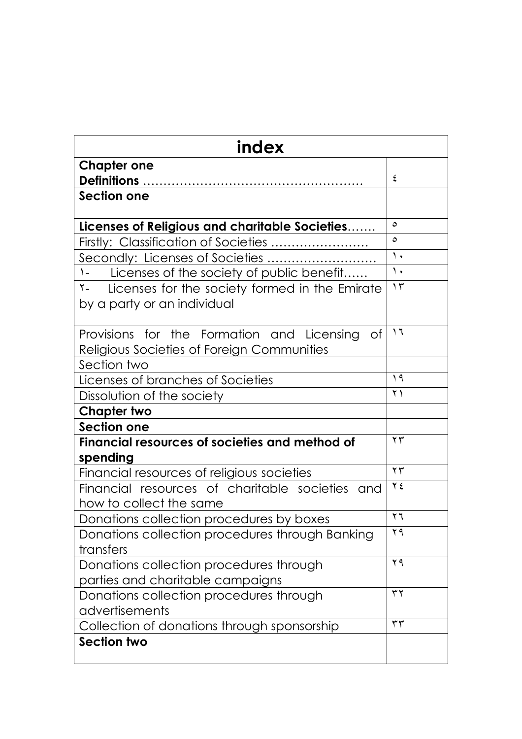| index                                                      |               |  |  |
|------------------------------------------------------------|---------------|--|--|
| <b>Chapter one</b>                                         |               |  |  |
|                                                            | ٤             |  |  |
| Section one                                                |               |  |  |
|                                                            |               |  |  |
| Licenses of Religious and charitable Societies             | $\circ$       |  |  |
| Firstly: Classification of Societies                       | $\circ$       |  |  |
| Secondly: Licenses of Societies                            | $\lambda$     |  |  |
| $\lambda$<br>Licenses of the society of public benefit     | $\lambda$     |  |  |
| Licenses for the society formed in the Emirate<br>$Y -$    | $\gamma$      |  |  |
| by a party or an individual                                |               |  |  |
| Provisions for the Formation and Licensing<br>0f           | ۲ (           |  |  |
| Religious Societies of Foreign Communities                 |               |  |  |
| Section two                                                |               |  |  |
| Licenses of branches of Societies                          | 19            |  |  |
| Dissolution of the society                                 | $\gamma$ )    |  |  |
| <b>Chapter two</b>                                         |               |  |  |
| <b>Section one</b>                                         |               |  |  |
| Financial resources of societies and method of<br>spending | $\gamma \tau$ |  |  |
| Financial resources of religious societies                 | $\mathbf{y}$  |  |  |
| Financial resources of charitable societies<br>and         | $Y \xi$       |  |  |
| how to collect the same                                    |               |  |  |
| Donations collection procedures by boxes                   | $\mathbf{y}$  |  |  |
| Donations collection procedures through Banking            | ۲۹            |  |  |
| transfers                                                  |               |  |  |
| Donations collection procedures through                    | ۲۹            |  |  |
| parties and charitable campaigns                           |               |  |  |
| Donations collection procedures through                    | $\tau \tau$   |  |  |
| advertisements                                             |               |  |  |
| Collection of donations through sponsorship                | $\tau\tau$    |  |  |
| <b>Section two</b>                                         |               |  |  |